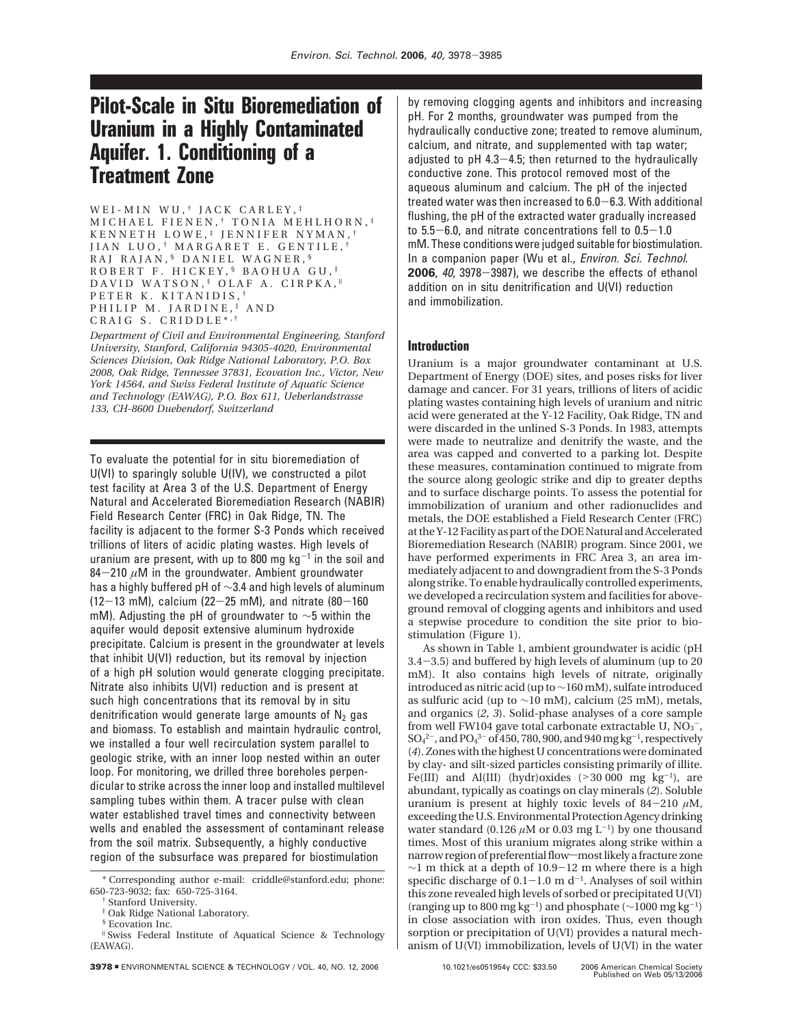# **Pilot-Scale in Situ Bioremediation of Uranium in a Highly Contaminated Aquifer. 1. Conditioning of a Treatment Zone**

WEI-MIN WU,<sup>†</sup> JACK CARLEY,<sup>‡</sup> MICHAEL FIENEN, † TONIA MEHLHORN, ‡ KENNETH LOWE, ‡ JENNIFER NYMAN, † JIAN LUO, † MARGARET E. GENTILE, † RAJ RAJAN, § DANIEL WAGNER, § ROBERT F. HICKEY, § BAOHUA GU, ‡ DAVID WATSON,<sup>#</sup> OLAF A. CIRPKA,<sup>#</sup> PETER K. KITANIDIS, † PHILIP M. JARDINE, ‡ AND CRAIG S. CRIDDLE\* , †

*Department of Civil and Environmental Engineering, Stanford University, Stanford, California 94305-4020, Environmental Sciences Division, Oak Ridge National Laboratory, P.O. Box 2008, Oak Ridge, Tennessee 37831, Ecovation Inc., Victor, New York 14564, and Swiss Federal Institute of Aquatic Science and Technology (EAWAG), P.O. Box 611, Ueberlandstrasse 133, CH-8600 Duebendorf, Switzerland*

To evaluate the potential for in situ bioremediation of U(VI) to sparingly soluble U(IV), we constructed a pilot test facility at Area 3 of the U.S. Department of Energy Natural and Accelerated Bioremediation Research (NABIR) Field Research Center (FRC) in Oak Ridge, TN. The facility is adjacent to the former S-3 Ponds which received trillions of liters of acidic plating wastes. High levels of uranium are present, with up to 800 mg  $kg^{-1}$  in the soil and 84 $-210 \mu$ M in the groundwater. Ambient groundwater has a highly buffered pH of ∼3.4 and high levels of aluminum  $(12-13 \text{ mM})$ , calcium  $(22-25 \text{ mM})$ , and nitrate  $(80-160 \text{ m})$ mM). Adjusting the pH of groundwater to ∼5 within the aquifer would deposit extensive aluminum hydroxide precipitate. Calcium is present in the groundwater at levels that inhibit U(VI) reduction, but its removal by injection of a high pH solution would generate clogging precipitate. Nitrate also inhibits U(VI) reduction and is present at such high concentrations that its removal by in situ denitrification would generate large amounts of  $N_2$  gas and biomass. To establish and maintain hydraulic control, we installed a four well recirculation system parallel to geologic strike, with an inner loop nested within an outer loop. For monitoring, we drilled three boreholes perpendicular to strike across the inner loop and installed multilevel sampling tubes within them. A tracer pulse with clean water established travel times and connectivity between wells and enabled the assessment of contaminant release from the soil matrix. Subsequently, a highly conductive region of the subsurface was prepared for biostimulation

**3978 ENVIRONMENTAL SCIENCE & TECHNOLOGY / VOL. 40, NO. 12, 2006 10.1021/es051954y CCC: \$33.50 <b>2006** 

by removing clogging agents and inhibitors and increasing pH. For 2 months, groundwater was pumped from the hydraulically conductive zone; treated to remove aluminum, calcium, and nitrate, and supplemented with tap water; adjusted to pH 4.3-4.5; then returned to the hydraulically conductive zone. This protocol removed most of the aqueous aluminum and calcium. The pH of the injected treated water was then increased to 6.0-6.3. With additional flushing, the pH of the extracted water gradually increased to  $5.5-6.0$ , and nitrate concentrations fell to  $0.5-1.0$ mM. These conditions were judged suitable for biostimulation. In a companion paper (Wu et al., *Environ. Sci. Technol.* **<sup>2006</sup>**, <sup>40</sup>, 3978-3987), we describe the effects of ethanol addition on in situ denitrification and U(VI) reduction and immobilization.

## **Introduction**

Uranium is a major groundwater contaminant at U.S. Department of Energy (DOE) sites, and poses risks for liver damage and cancer. For 31 years, trillions of liters of acidic plating wastes containing high levels of uranium and nitric acid were generated at the Y-12 Facility, Oak Ridge, TN and were discarded in the unlined S-3 Ponds. In 1983, attempts were made to neutralize and denitrify the waste, and the area was capped and converted to a parking lot. Despite these measures, contamination continued to migrate from the source along geologic strike and dip to greater depths and to surface discharge points. To assess the potential for immobilization of uranium and other radionuclides and metals, the DOE established a Field Research Center (FRC) at the Y-12 Facility as part of the DOE Natural and Accelerated Bioremediation Research (NABIR) program. Since 2001, we have performed experiments in FRC Area 3, an area immediately adjacent to and downgradient from the S-3 Ponds along strike. To enable hydraulically controlled experiments, we developed a recirculation system and facilities for aboveground removal of clogging agents and inhibitors and used a stepwise procedure to condition the site prior to biostimulation (Figure 1).

As shown in Table 1, ambient groundwater is acidic (pH 3.4-3.5) and buffered by high levels of aluminum (up to 20 mM). It also contains high levels of nitrate, originally introduced as nitric acid (up to∼160 mM), sulfate introduced as sulfuric acid (up to ∼10 mM), calcium (25 mM), metals, and organics (*2*, *3*). Solid-phase analyses of a core sample from well FW104 gave total carbonate extractable U,  $\rm NO_3^-$ ,  $\text{SO}_4{}^{2-}$ , and  $\text{PO}_4{}^{3-}$  of 450, 780, 900, and 940 mg kg<sup>-1</sup>, respectively (*4*). Zones with the highest U concentrations were dominated by clay- and silt-sized particles consisting primarily of illite. Fe(III) and Al(III) (hydr)oxides  $(>30 000 \text{ mg kg}^{-1})$ , are abundant, typically as coatings on clay minerals (*2*). Soluble uranium is present at highly toxic levels of  $84-210 \mu M$ , exceeding the U.S. Environmental Protection Agency drinking water standard (0.126  $\mu$ M or 0.03 mg L<sup>-1</sup>) by one thousand times. Most of this uranium migrates along strike within a narrow region of preferential flow-most likely a fracture zone <sup>∼</sup>1 m thick at a depth of 10.9-12 m where there is a high specific discharge of  $0.1-1.0$  m d<sup>-1</sup>. Analyses of soil within this zone revealed high levels of sorbed or precipitated U(VI) (ranging up to 800 mg kg-1) and phosphate (∼1000 mg kg-1) in close association with iron oxides. Thus, even though sorption or precipitation of U(VI) provides a natural mechanism of U(VI) immobilization, levels of U(VI) in the water

<sup>\*</sup> Corresponding author e-mail: criddle@stanford.edu; phone: 650-723-9032; fax: 650-725-3164.

<sup>†</sup> Stanford University.

<sup>‡</sup> Oak Ridge National Laboratory.

<sup>§</sup> Ecovation Inc.

<sup>|</sup> Swiss Federal Institute of Aquatical Science & Technology (EAWAG).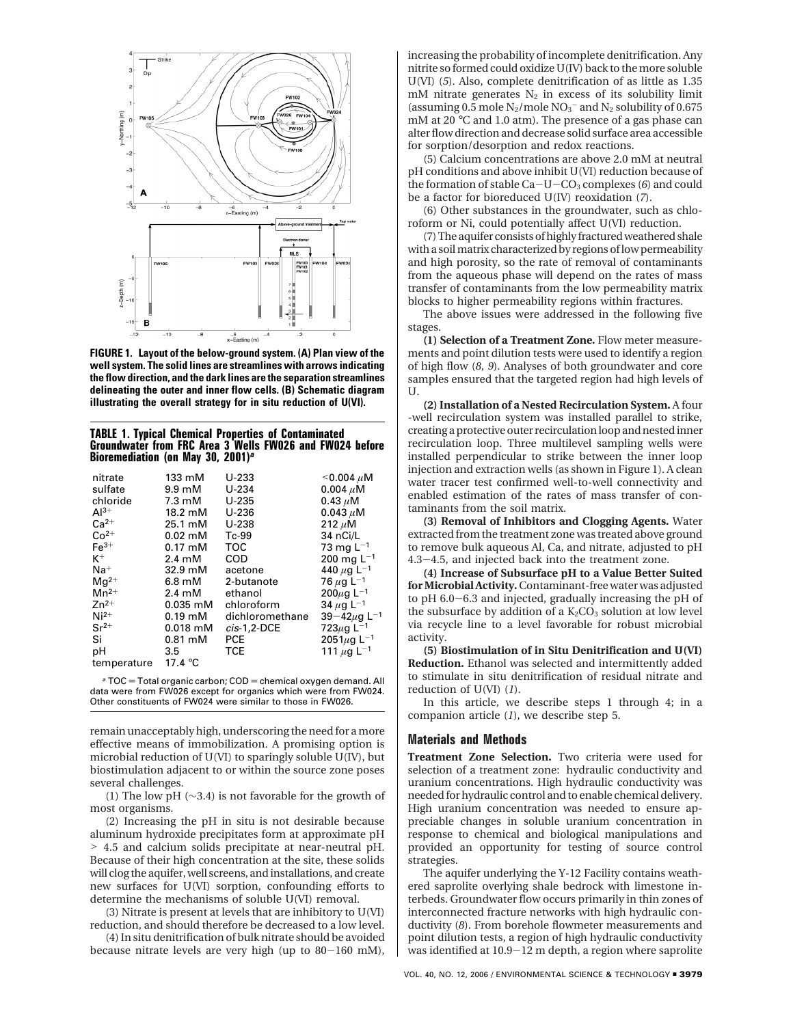

**FIGURE 1. Layout of the below-ground system. (A) Plan view of the well system. The solid lines are streamlines with arrows indicating the flow direction, and the dark lines are the separation streamlines delineating the outer and inner flow cells. (B) Schematic diagram illustrating the overall strategy for in situ reduction of U(VI).**

#### **TABLE 1. Typical Chemical Properties of Contaminated Groundwater from FRC Area 3 Wells FW026 and FW024 before Bioremediation (on May 30, 2001)***<sup>a</sup>*

| nitrate        | 133 mM                     | $U-233$         | $<$ 0.004 $\mu$ M            |
|----------------|----------------------------|-----------------|------------------------------|
| sulfate        | $9.9 \text{ }\mathrm{m}$ M | $U-234$         | 0.004 $\mu$ M                |
| chloride       | $7.3 \text{ }\mathrm{mM}$  | $U-235$         | $0.43 \mu M$                 |
| $Al^{3+}$      | 18.2 mM                    | $U-236$         | $0.043 \mu M$                |
| $Ca2+$         | 25.1 mM                    | $U-238$         | 212 $\mu$ M                  |
| $Co2+$         | $0.02$ mM                  | Tc-99           | 34 nCi/L                     |
| $Fe3+$         | $0.17 \text{ }\mathrm{mM}$ | TOC             | 73 mg $L^{-1}$               |
| $\mathsf{K}^+$ | $2.4 \text{ }\mathrm{mM}$  | COD             | 200 mg $L^{-1}$              |
| $Na+$          | 32.9 mM                    | acetone         | 440 $\mu$ g L <sup>-1</sup>  |
| $Mq^{2+}$      | $6.8 \text{ }\mathrm{mM}$  | 2-butanote      | 76 $\mu$ g L <sup>-1</sup>   |
| $Mn^{2+}$      | $2.4 \text{ }\mathrm{mM}$  | ethanol         | 200 $\mu$ g L <sup>-1</sup>  |
| $7n^{2+}$      | $0.035$ mM                 | chloroform      | 34 $\mu$ g L <sup>-1</sup>   |
| $Ni2+$         | $0.19$ mM                  | dichloromethane | $39 - 42 \mu g L^{-1}$       |
| $Sr^{2+}$      | $0.018$ mM                 | $cis-1.2-DCE$   | 723 $\mu$ g L <sup>-1</sup>  |
| Si             | $0.81 \text{ mM}$          | <b>PCE</b>      | 2051 $\mu$ g L <sup>-1</sup> |
| рH             | 3.5                        | TCE.            | 111 $\mu$ g L <sup>-1</sup>  |
| temperature    | 17.4 $\degree$ C           |                 |                              |

 $a$  TOC = Total organic carbon; COD = chemical oxygen demand. All data were from FW026 except for organics which were from FW024. Other constituents of FW024 were similar to those in FW026.

remain unacceptably high, underscoring the need for a more effective means of immobilization. A promising option is microbial reduction of U(VI) to sparingly soluble U(IV), but biostimulation adjacent to or within the source zone poses several challenges.

(1) The low pH (∼3.4) is not favorable for the growth of most organisms.

(2) Increasing the pH in situ is not desirable because aluminum hydroxide precipitates form at approximate pH > 4.5 and calcium solids precipitate at near-neutral pH. Because of their high concentration at the site, these solids will clog the aquifer, well screens, and installations, and create new surfaces for U(VI) sorption, confounding efforts to determine the mechanisms of soluble U(VI) removal.

(3) Nitrate is present at levels that are inhibitory to U(VI) reduction, and should therefore be decreased to a low level.

(4) In situ denitrification of bulk nitrate should be avoided because nitrate levels are very high (up to 80-160 mM),

increasing the probability of incomplete denitrification. Any nitrite so formed could oxidize U(IV) back to the more soluble U(VI) (*5*). Also, complete denitrification of as little as 1.35  $m$ M nitrate generates  $N_2$  in excess of its solubility limit (assuming 0.5 mole  $N_2$ /mole  $N_0$ <sup>-</sup> and  $N_2$  solubility of 0.675 mM at 20 °C and 1.0 atm). The presence of a gas phase can alter flow direction and decrease solid surface area accessible for sorption/desorption and redox reactions.

(5) Calcium concentrations are above 2.0 mM at neutral pH conditions and above inhibit U(VI) reduction because of the formation of stable  $Ca-U-CO<sub>3</sub>$  complexes (6) and could be a factor for bioreduced U(IV) reoxidation (*7*).

(6) Other substances in the groundwater, such as chloroform or Ni, could potentially affect U(VI) reduction.

(7) The aquifer consists of highly fractured weathered shale with a soil matrix characterized by regions of low permeability and high porosity, so the rate of removal of contaminants from the aqueous phase will depend on the rates of mass transfer of contaminants from the low permeability matrix blocks to higher permeability regions within fractures.

The above issues were addressed in the following five stages.

**(1) Selection of a Treatment Zone.** Flow meter measurements and point dilution tests were used to identify a region of high flow (*8*, *9*). Analyses of both groundwater and core samples ensured that the targeted region had high levels of U.

**(2) Installation of a Nested Recirculation System.** A four -well recirculation system was installed parallel to strike, creating a protective outer recirculation loop and nested inner recirculation loop. Three multilevel sampling wells were installed perpendicular to strike between the inner loop injection and extraction wells (as shown in Figure 1). A clean water tracer test confirmed well-to-well connectivity and enabled estimation of the rates of mass transfer of contaminants from the soil matrix.

**(3) Removal of Inhibitors and Clogging Agents.** Water extracted from the treatment zone was treated above ground to remove bulk aqueous Al, Ca, and nitrate, adjusted to pH 4.3-4.5, and injected back into the treatment zone.

**(4) Increase of Subsurface pH to a Value Better Suited for Microbial Activity.**Contaminant-free water was adjusted to pH 6.0-6.3 and injected, gradually increasing the pH of the subsurface by addition of a  $K_2CO_3$  solution at low level via recycle line to a level favorable for robust microbial activity.

**(5) Biostimulation of in Situ Denitrification and U(VI) Reduction.** Ethanol was selected and intermittently added to stimulate in situ denitrification of residual nitrate and reduction of U(VI) (*1*).

In this article, we describe steps 1 through 4; in a companion article (*1*), we describe step 5.

### **Materials and Methods**

**Treatment Zone Selection.** Two criteria were used for selection of a treatment zone: hydraulic conductivity and uranium concentrations. High hydraulic conductivity was needed for hydraulic control and to enable chemical delivery. High uranium concentration was needed to ensure appreciable changes in soluble uranium concentration in response to chemical and biological manipulations and provided an opportunity for testing of source control strategies.

The aquifer underlying the Y-12 Facility contains weathered saprolite overlying shale bedrock with limestone interbeds. Groundwater flow occurs primarily in thin zones of interconnected fracture networks with high hydraulic conductivity (*8*). From borehole flowmeter measurements and point dilution tests, a region of high hydraulic conductivity was identified at 10.9-12 m depth, a region where saprolite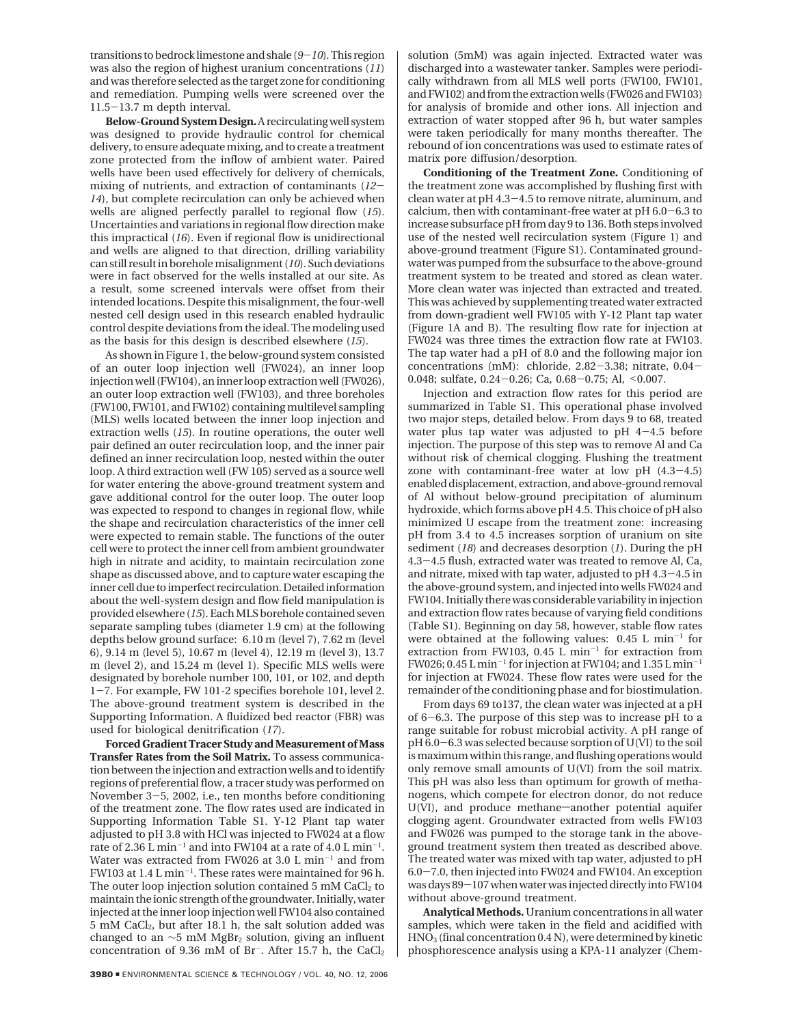transitions to bedrock limestone and shale (*9*-*10*). This region was also the region of highest uranium concentrations (*11*) and was therefore selected as the target zone for conditioning and remediation. Pumping wells were screened over the 11.5-13.7 m depth interval.

**Below-Ground System Design.**A recirculating well system was designed to provide hydraulic control for chemical delivery, to ensure adequate mixing, and to create a treatment zone protected from the inflow of ambient water. Paired wells have been used effectively for delivery of chemicals, mixing of nutrients, and extraction of contaminants (*12*- *14*), but complete recirculation can only be achieved when wells are aligned perfectly parallel to regional flow (*15*). Uncertainties and variations in regional flow direction make this impractical (*16*). Even if regional flow is unidirectional and wells are aligned to that direction, drilling variability can still result in borehole misalignment (*10*). Such deviations were in fact observed for the wells installed at our site. As a result, some screened intervals were offset from their intended locations. Despite this misalignment, the four-well nested cell design used in this research enabled hydraulic control despite deviations from the ideal. The modeling used as the basis for this design is described elsewhere (*15*).

As shown in Figure 1, the below-ground system consisted of an outer loop injection well (FW024), an inner loop injection well (FW104), an inner loop extraction well (FW026), an outer loop extraction well (FW103), and three boreholes (FW100, FW101, and FW102) containing multilevel sampling (MLS) wells located between the inner loop injection and extraction wells (*15*). In routine operations, the outer well pair defined an outer recirculation loop, and the inner pair defined an inner recirculation loop, nested within the outer loop. A third extraction well (FW 105) served as a source well for water entering the above-ground treatment system and gave additional control for the outer loop. The outer loop was expected to respond to changes in regional flow, while the shape and recirculation characteristics of the inner cell were expected to remain stable. The functions of the outer cell were to protect the inner cell from ambient groundwater high in nitrate and acidity, to maintain recirculation zone shape as discussed above, and to capture water escaping the inner cell due to imperfect recirculation. Detailed information about the well-system design and flow field manipulation is provided elsewhere (*15*). Each MLS borehole contained seven separate sampling tubes (diameter 1.9 cm) at the following depths below ground surface: 6.10 m (level 7), 7.62 m (level 6), 9.14 m (level 5), 10.67 m (level 4), 12.19 m (level 3), 13.7 m (level 2), and 15.24 m (level 1). Specific MLS wells were designated by borehole number 100, 101, or 102, and depth <sup>1</sup>-7. For example, FW 101-2 specifies borehole 101, level 2. The above-ground treatment system is described in the Supporting Information. A fluidized bed reactor (FBR) was used for biological denitrification (*17*).

**Forced Gradient Tracer Study and Measurement of Mass Transfer Rates from the Soil Matrix.** To assess communication between the injection and extraction wells and to identify regions of preferential flow, a tracer study was performed on November 3-5, 2002, i.e., ten months before conditioning of the treatment zone. The flow rates used are indicated in Supporting Information Table S1. Y-12 Plant tap water adjusted to pH 3.8 with HCl was injected to FW024 at a flow rate of 2.36 L min<sup>-1</sup> and into FW104 at a rate of 4.0 L min<sup>-1</sup>. Water was extracted from FW026 at 3.0 L min<sup>-1</sup> and from FW103 at 1.4 L min-1. These rates were maintained for 96 h. The outer loop injection solution contained  $5 \text{ mM } CaCl<sub>2</sub>$  to maintain the ionic strength of the groundwater. Initially, water injected at the inner loop injection well FW104 also contained 5 mM CaCl2, but after 18.1 h, the salt solution added was changed to an  $\sim$ 5 mM MgBr<sub>2</sub> solution, giving an influent concentration of 9.36 mM of Br<sup>-</sup>. After 15.7 h, the CaCl<sub>2</sub>

solution (5mM) was again injected. Extracted water was discharged into a wastewater tanker. Samples were periodically withdrawn from all MLS well ports (FW100, FW101, and FW102) and from the extraction wells (FW026 and FW103) for analysis of bromide and other ions. All injection and extraction of water stopped after 96 h, but water samples were taken periodically for many months thereafter. The rebound of ion concentrations was used to estimate rates of matrix pore diffusion/desorption.

**Conditioning of the Treatment Zone.** Conditioning of the treatment zone was accomplished by flushing first with clean water at pH 4.3-4.5 to remove nitrate, aluminum, and calcium, then with contaminant-free water at pH 6.0-6.3 to increase subsurface pH from day 9 to 136. Both steps involved use of the nested well recirculation system (Figure 1) and above-ground treatment (Figure S1). Contaminated groundwater was pumped from the subsurface to the above-ground treatment system to be treated and stored as clean water. More clean water was injected than extracted and treated. This was achieved by supplementing treated water extracted from down-gradient well FW105 with Y-12 Plant tap water (Figure 1A and B). The resulting flow rate for injection at FW024 was three times the extraction flow rate at FW103. The tap water had a pH of 8.0 and the following major ion concentrations (mM): chloride, 2.82-3.38; nitrate, 0.04- 0.048; sulfate, 0.24-0.26; Ca, 0.68-0.75; Al, <0.007.

Injection and extraction flow rates for this period are summarized in Table S1. This operational phase involved two major steps, detailed below. From days 9 to 68, treated water plus tap water was adjusted to pH  $4-4.5$  before injection. The purpose of this step was to remove Al and Ca without risk of chemical clogging. Flushing the treatment zone with contaminant-free water at low pH (4.3-4.5) enabled displacement, extraction, and above-ground removal of Al without below-ground precipitation of aluminum hydroxide, which forms above pH 4.5. This choice of pH also minimized U escape from the treatment zone: increasing pH from 3.4 to 4.5 increases sorption of uranium on site sediment (*18*) and decreases desorption (*1*). During the pH 4.3-4.5 flush, extracted water was treated to remove Al, Ca, and nitrate, mixed with tap water, adjusted to pH 4.3-4.5 in the above-ground system, and injected into wells FW024 and FW104. Initially there was considerable variability in injection and extraction flow rates because of varying field conditions (Table S1). Beginning on day 58, however, stable flow rates were obtained at the following values: 0.45 L min-<sup>1</sup> for extraction from FW103, 0.45 L min<sup>-1</sup> for extraction from FW026; 0.45 L min<sup>-1</sup> for injection at FW104; and  $1.35$  L min<sup>-1</sup> for injection at FW024. These flow rates were used for the remainder of the conditioning phase and for biostimulation.

From days 69 to137, the clean water was injected at a pH of 6-6.3. The purpose of this step was to increase pH to a range suitable for robust microbial activity. A pH range of pH 6.0-6.3 was selected because sorption of U(VI) to the soil is maximum within this range, and flushing operations would only remove small amounts of U(VI) from the soil matrix. This pH was also less than optimum for growth of methanogens, which compete for electron donor, do not reduce U(VI), and produce methane-another potential aquifer clogging agent. Groundwater extracted from wells FW103 and FW026 was pumped to the storage tank in the aboveground treatment system then treated as described above. The treated water was mixed with tap water, adjusted to pH 6.0-7.0, then injected into FW024 and FW104. An exception was days 89-107 when water was injected directly into FW104 without above-ground treatment.

**Analytical Methods.**Uranium concentrations in all water samples, which were taken in the field and acidified with HNO3 (final concentration 0.4 N), were determined by kinetic phosphorescence analysis using a KPA-11 analyzer (Chem-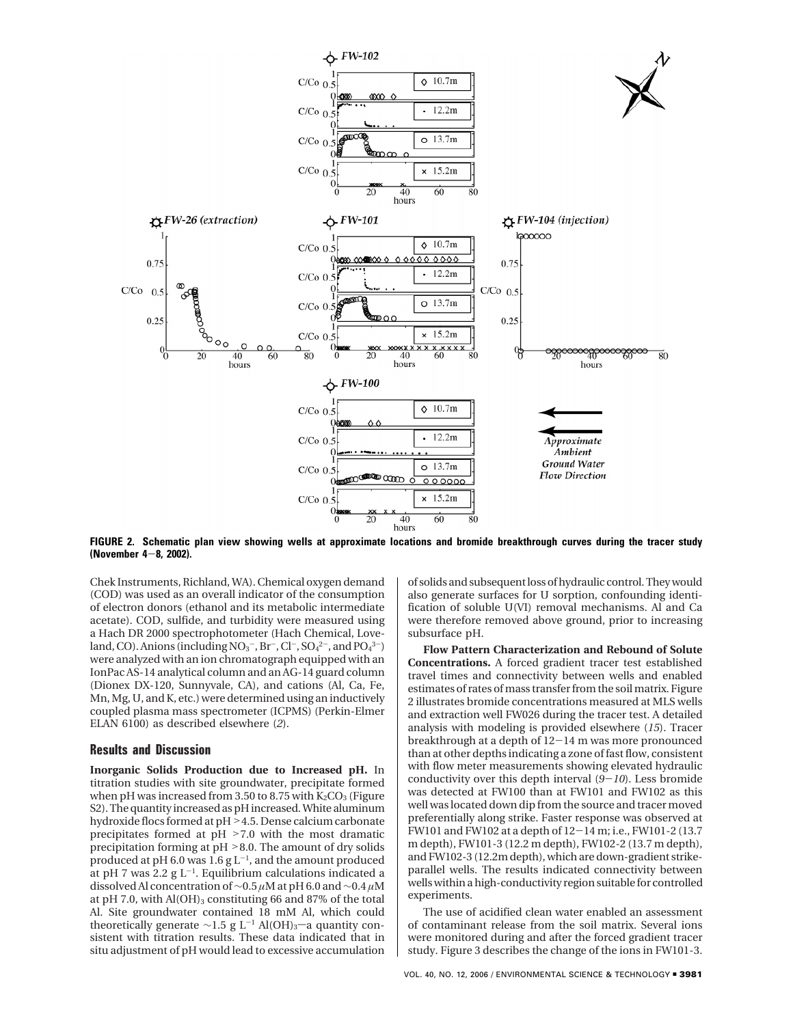

**FIGURE 2. Schematic plan view showing wells at approximate locations and bromide breakthrough curves during the tracer study (November 4**-**8, 2002).**

Chek Instruments, Richland, WA). Chemical oxygen demand (COD) was used as an overall indicator of the consumption of electron donors (ethanol and its metabolic intermediate acetate). COD, sulfide, and turbidity were measured using a Hach DR 2000 spectrophotometer (Hach Chemical, Loveland, CO). Anions (including  $NO_3^-$ , Br<sup>-</sup>, Cl<sup>-</sup>, SO<sub>4</sub><sup>2-</sup>, and PO<sub>4</sub>3<sup>-</sup>) were analyzed with an ion chromatograph equipped with an IonPac AS-14 analytical column and an AG-14 guard column (Dionex DX-120, Sunnyvale, CA), and cations (Al, Ca, Fe, Mn, Mg, U, and K, etc.) were determined using an inductively coupled plasma mass spectrometer (ICPMS) (Perkin-Elmer ELAN 6100) as described elsewhere (*2*).

## **Results and Discussion**

**Inorganic Solids Production due to Increased pH.** In titration studies with site groundwater, precipitate formed when pH was increased from 3.50 to 8.75 with  $K_2CO_3$  (Figure S2). The quantity increased as pH increased. White aluminum hydroxide flocs formed at pH > 4.5. Dense calcium carbonate precipitates formed at pH >7.0 with the most dramatic precipitation forming at pH >8.0. The amount of dry solids produced at pH 6.0 was  $1.6$  g L<sup>-1</sup>, and the amount produced at pH 7 was 2.2 g  $L^{-1}$ . Equilibrium calculations indicated a dissolved Al concentration of ∼0.5 *µ*M at pH 6.0 and ∼0.4 *µ*M at pH 7.0, with  $Al(OH)_{3}$  constituting 66 and 87% of the total Al. Site groundwater contained 18 mM Al, which could theoretically generate ~1.5 g L<sup>-1</sup> Al(OH)<sub>3</sub>-a quantity consistent with titration results. These data indicated that in situ adjustment of pH would lead to excessive accumulation

of solids and subsequent loss of hydraulic control. They would also generate surfaces for U sorption, confounding identification of soluble U(VI) removal mechanisms. Al and Ca were therefore removed above ground, prior to increasing subsurface pH.

**Flow Pattern Characterization and Rebound of Solute Concentrations.** A forced gradient tracer test established travel times and connectivity between wells and enabled estimates of rates of mass transfer from the soil matrix. Figure 2 illustrates bromide concentrations measured at MLS wells and extraction well FW026 during the tracer test. A detailed analysis with modeling is provided elsewhere (*15*). Tracer breakthrough at a depth of 12-14 m was more pronounced than at other depths indicating a zone of fast flow, consistent with flow meter measurements showing elevated hydraulic conductivity over this depth interval (*9*-*10*). Less bromide was detected at FW100 than at FW101 and FW102 as this well was located down dip from the source and tracer moved preferentially along strike. Faster response was observed at FW101 and FW102 at a depth of 12-14 m; i.e., FW101-2 (13.7 m depth), FW101-3 (12.2 m depth), FW102-2 (13.7 m depth), and FW102-3 (12.2m depth), which are down-gradient strikeparallel wells. The results indicated connectivity between wells within a high-conductivity region suitable for controlled experiments.

The use of acidified clean water enabled an assessment of contaminant release from the soil matrix. Several ions were monitored during and after the forced gradient tracer study. Figure 3 describes the change of the ions in FW101-3.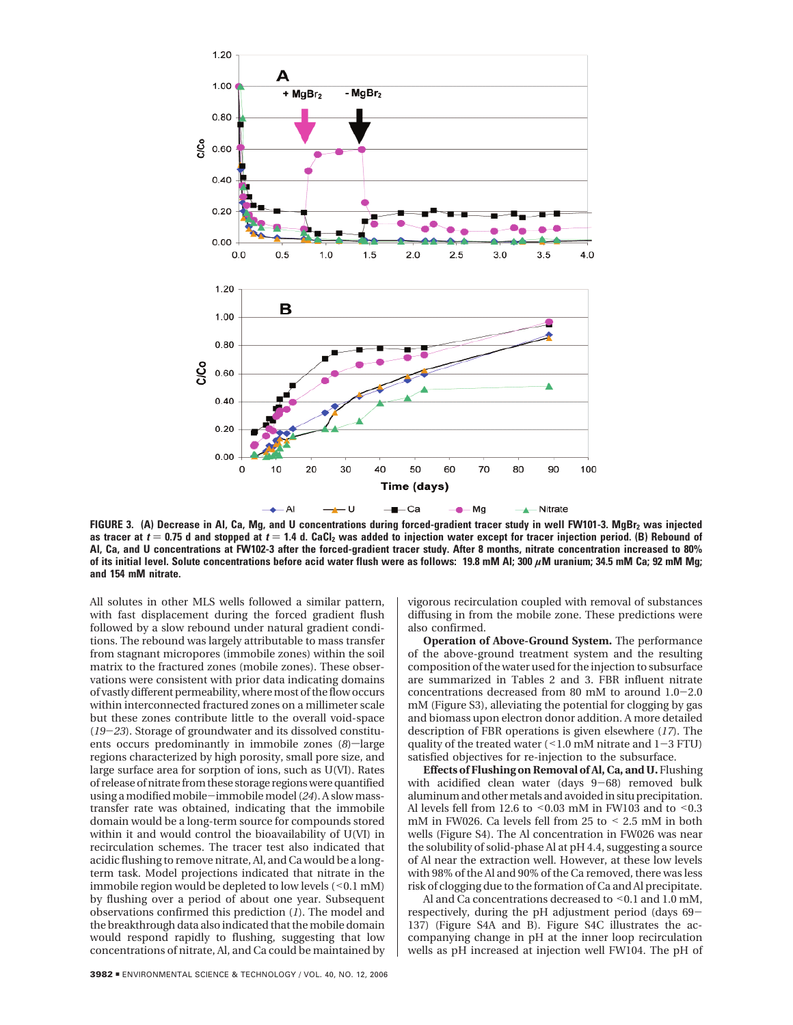

FIGURE 3. (A) Decrease in AI, Ca, Mg, and U concentrations during forced-gradient tracer study in well FW101-3. MgBr<sub>2</sub> was injected as tracer at  $t = 0.75$  d and stopped at  $t = 1.4$  d. CaCl<sub>2</sub> was added to injection water except for tracer injection period. (B) Rebound of **Al, Ca, and U concentrations at FW102-3 after the forced-gradient tracer study. After 8 months, nitrate concentration increased to 80% of its initial level. Solute concentrations before acid water flush were as follows: 19.8 mM Al; 300** *µ***M uranium; 34.5 mM Ca; 92 mM Mg; and 154 mM nitrate.**

All solutes in other MLS wells followed a similar pattern, with fast displacement during the forced gradient flush followed by a slow rebound under natural gradient conditions. The rebound was largely attributable to mass transfer from stagnant micropores (immobile zones) within the soil matrix to the fractured zones (mobile zones). These observations were consistent with prior data indicating domains of vastly different permeability, where most of the flow occurs within interconnected fractured zones on a millimeter scale but these zones contribute little to the overall void-space (*19*-*23*). Storage of groundwater and its dissolved constituents occurs predominantly in immobile zones  $(8)$ -large regions characterized by high porosity, small pore size, and large surface area for sorption of ions, such as U(VI). Rates of release of nitrate from these storage regions were quantified using a modified mobile-immobile model (*24*). A slow masstransfer rate was obtained, indicating that the immobile domain would be a long-term source for compounds stored within it and would control the bioavailability of U(VI) in recirculation schemes. The tracer test also indicated that acidic flushing to remove nitrate, Al, and Ca would be a longterm task. Model projections indicated that nitrate in the immobile region would be depleted to low levels  $(< 0.1$  mM) by flushing over a period of about one year. Subsequent observations confirmed this prediction (*1*). The model and the breakthrough data also indicated that the mobile domain would respond rapidly to flushing, suggesting that low concentrations of nitrate, Al, and Ca could be maintained by vigorous recirculation coupled with removal of substances diffusing in from the mobile zone. These predictions were also confirmed.

**Operation of Above-Ground System.** The performance of the above-ground treatment system and the resulting composition of the water used for the injection to subsurface are summarized in Tables 2 and 3. FBR influent nitrate concentrations decreased from 80 mM to around 1.0-2.0 mM (Figure S3), alleviating the potential for clogging by gas and biomass upon electron donor addition. A more detailed description of FBR operations is given elsewhere (*17*). The quality of the treated water  $($  < 1.0 mM nitrate and  $1-3$  FTU) satisfied objectives for re-injection to the subsurface.

**Effects of Flushing on Removal of Al, Ca, and U.** Flushing with acidified clean water (days 9-68) removed bulk aluminum and other metals and avoided in situ precipitation. Al levels fell from 12.6 to  $\leq$  0.03 mM in FW103 and to  $\leq$  0.3 mM in FW026. Ca levels fell from 25 to < 2.5 mM in both wells (Figure S4). The Al concentration in FW026 was near the solubility of solid-phase Al at pH 4.4, suggesting a source of Al near the extraction well. However, at these low levels with 98% of the Al and 90% of the Ca removed, there was less risk of clogging due to the formation of Ca and Al precipitate.

Al and Ca concentrations decreased to <0.1 and 1.0 mM, respectively, during the pH adjustment period (days 69- 137) (Figure S4A and B). Figure S4C illustrates the accompanying change in pH at the inner loop recirculation wells as pH increased at injection well FW104. The pH of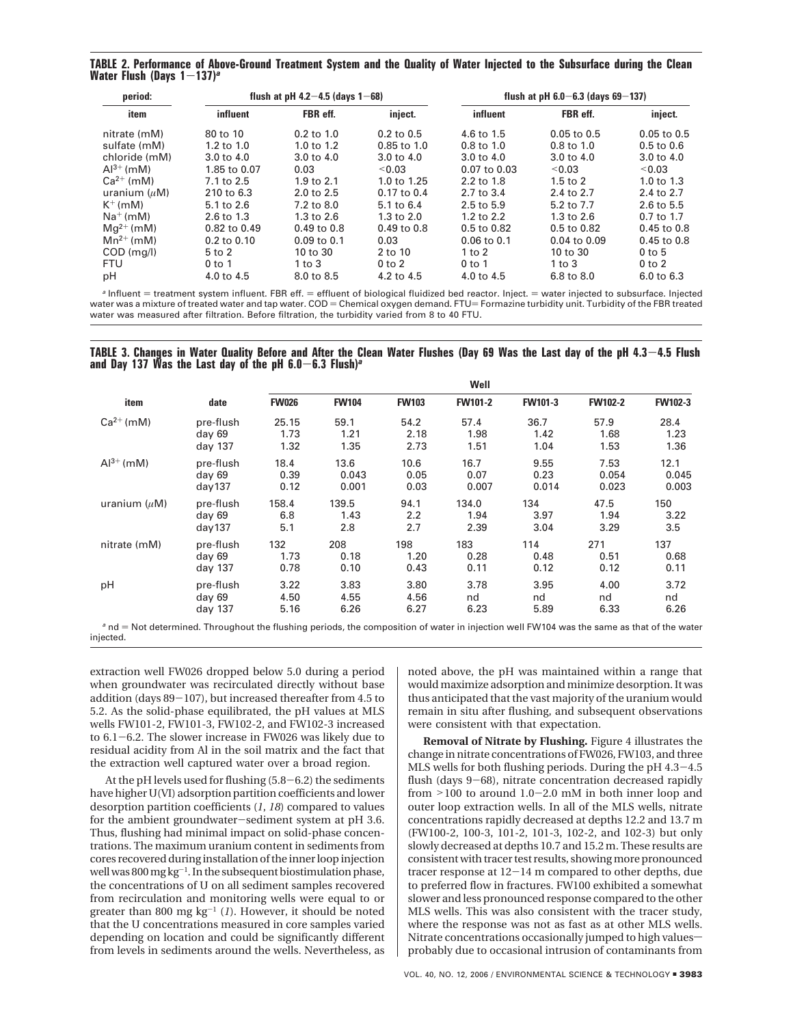**TABLE 2. Performance of Above-Ground Treatment System and the Quality of Water Injected to the Subsurface during the Clean Water Flush (Days 1**-**137)***<sup>a</sup>*

| period:        |                       | flush at pH 4.2 $-4.5$ (days 1 $-68$ ) |                 |                       | flush at pH $6.0 - 6.3$ (days $69 - 137$ ) |                 |  |  |
|----------------|-----------------------|----------------------------------------|-----------------|-----------------------|--------------------------------------------|-----------------|--|--|
| item           | influent              | FBR eff.                               | inject.         | influent              | FBR eff.                                   | inject.         |  |  |
| nitrate (mM)   | 80 to 10              | $0.2$ to $1.0$                         | $0.2$ to $0.5$  | 4.6 to 1.5            | $0.05$ to $0.5$                            | $0.05$ to $0.5$ |  |  |
| sulfate (mM)   | $1.2$ to $1.0$        | $1.0 \text{ to } 1.2$                  | $0.85$ to $1.0$ | $0.8 \text{ to } 1.0$ | $0.8 \text{ to } 1.0$                      | $0.5$ to $0.6$  |  |  |
| chloride (mM)  | $3.0 \text{ to } 4.0$ | 3.0 to 4.0                             | 3.0 to 4.0      | 3.0 to 4.0            | 3.0 to 4.0                                 | 3.0 to 4.0      |  |  |
| $Al^{3+}$ (mM) | 1.85 to 0.07          | 0.03                                   | < 0.03          | 0.07 to 0.03          | < 0.03                                     | < 0.03          |  |  |
| $Ca^{2+}$ (mM) | 7.1 to 2.5            | 1.9 to $2.1$                           | 1.0 to 1.25     | 2.2 to 1.8            | $1.5$ to $2$                               | 1.0 to $1.3$    |  |  |
| uranium $(uM)$ | 210 to 6.3            | 2.0 to 2.5                             | 0.17 to 0.4     | 2.7 to 3.4            | 2.4 to 2.7                                 | 2.4 to 2.7      |  |  |
| $K^+$ (mM)     | 5.1 to 2.6            | 7.2 to 8.0                             | 5.1 to 6.4      | 2.5 to 5.9            | 5.2 to 7.7                                 | 2.6 to 5.5      |  |  |
| $Na^+(mM)$     | 2.6 to 1.3            | 1.3 to 2.6                             | $1.3$ to $2.0$  | 1.2 to 2.2            | 1.3 to 2.6                                 | 0.7 to 1.7      |  |  |
| $Mq^{2+}$ (mM) | 0.82 to 0.49          | 0.49 to 0.8                            | $0.49$ to $0.8$ | 0.5 to 0.82           | 0.5 to 0.82                                | 0.45 to 0.8     |  |  |
| $Mn^{2+}$ (mM) | $0.2$ to $0.10$       | $0.09$ to $0.1$                        | 0.03            | $0.06$ to $0.1$       | $0.04$ to $0.09$                           | $0.45$ to $0.8$ |  |  |
| $COD$ (mg/l)   | $5$ to $2$            | 10 to 30                               | 2 to 10         | $1$ to $2$            | 10 to 30                                   | $0$ to 5        |  |  |
| <b>FTU</b>     | $0$ to 1              | 1 to $3$                               | $0$ to $2$      | $0$ to 1              | $1$ to $3$                                 | $0$ to $2$      |  |  |
| pH             | 4.0 to 4.5            | 8.0 to 8.5                             | 4.2 to 4.5      | 4.0 to 4.5            | 6.8 to 8.0                                 | 6.0 to 6.3      |  |  |

<sup>a</sup> Influent = treatment system influent. FBR eff. = effluent of biological fluidized bed reactor. Inject. = water injected to subsurface. Injected water was a mixture of treated water and tap water. COD = Chemical oxygen demand. FTU= Formazine turbidity unit. Turbidity of the FBR treated water was measured after filtration. Before filtration, the turbidity varied from 8 to 40 FTU.

**TABLE 3. Changes in Water Quality Before and After the Clean Water Flushes (Day 69 Was the Last day of the pH 4.3**-**4.5 Flush and Day 137 Was the Last day of the pH 6.0**-**6.3 Flush)***<sup>a</sup>*

| item              | date      | Well         |              |              |                |                |                |                |
|-------------------|-----------|--------------|--------------|--------------|----------------|----------------|----------------|----------------|
|                   |           | <b>FW026</b> | <b>FW104</b> | <b>FW103</b> | <b>FW101-2</b> | <b>FW101-3</b> | <b>FW102-2</b> | <b>FW102-3</b> |
| $Ca^{2+}$ (mM)    | pre-flush | 25.15        | 59.1         | 54.2         | 57.4           | 36.7           | 57.9           | 28.4           |
|                   | day 69    | 1.73         | 1.21         | 2.18         | 1.98           | 1.42           | 1.68           | 1.23           |
|                   | day 137   | 1.32         | 1.35         | 2.73         | 1.51           | 1.04           | 1.53           | 1.36           |
| $Al^{3+}$ (mM)    | pre-flush | 18.4         | 13.6         | 10.6         | 16.7           | 9.55           | 7.53           | 12.1           |
|                   | day 69    | 0.39         | 0.043        | 0.05         | 0.07           | 0.23           | 0.054          | 0.045          |
|                   | day137    | 0.12         | 0.001        | 0.03         | 0.007          | 0.014          | 0.023          | 0.003          |
| uranium $(\mu M)$ | pre-flush | 158.4        | 139.5        | 94.1         | 134.0          | 134            | 47.5           | 150            |
|                   | day 69    | 6.8          | 1.43         | 2.2          | 1.94           | 3.97           | 1.94           | 3.22           |
|                   | day137    | 5.1          | 2.8          | 2.7          | 2.39           | 3.04           | 3.29           | 3.5            |
| nitrate (mM)      | pre-flush | 132          | 208          | 198          | 183            | 114            | 271            | 137            |
|                   | day 69    | 1.73         | 0.18         | 1.20         | 0.28           | 0.48           | 0.51           | 0.68           |
|                   | day 137   | 0.78         | 0.10         | 0.43         | 0.11           | 0.12           | 0.12           | 0.11           |
| pH                | pre-flush | 3.22         | 3.83         | 3.80         | 3.78           | 3.95           | 4.00           | 3.72           |
|                   | day 69    | 4.50         | 4.55         | 4.56         | nd             | nd             | nd             | nd             |
|                   | day 137   | 5.16         | 6.26         | 6.27         | 6.23           | 5.89           | 6.33           | 6.26           |

extraction well FW026 dropped below 5.0 during a period when groundwater was recirculated directly without base addition (days 89-107), but increased thereafter from 4.5 to 5.2. As the solid-phase equilibrated, the pH values at MLS wells FW101-2, FW101-3, FW102-2, and FW102-3 increased to 6.1-6.2. The slower increase in FW026 was likely due to residual acidity from Al in the soil matrix and the fact that the extraction well captured water over a broad region.

injected.

At the pH levels used for flushing (5.8-6.2) the sediments have higher U(VI) adsorption partition coefficients and lower desorption partition coefficients (*1*, *18*) compared to values for the ambient groundwater-sediment system at pH 3.6. Thus, flushing had minimal impact on solid-phase concentrations. The maximum uranium content in sediments from cores recovered during installation of the inner loop injection well was 800 mg  $kg^{-1}$ . In the subsequent biostimulation phase, the concentrations of U on all sediment samples recovered from recirculation and monitoring wells were equal to or greater than 800 mg  $kg^{-1}$  (*1*). However, it should be noted that the U concentrations measured in core samples varied depending on location and could be significantly different from levels in sediments around the wells. Nevertheless, as noted above, the pH was maintained within a range that would maximize adsorption and minimize desorption. It was thus anticipated that the vast majority of the uranium would remain in situ after flushing, and subsequent observations were consistent with that expectation.

**Removal of Nitrate by Flushing.** Figure 4 illustrates the change in nitrate concentrations of FW026, FW103, and three MLS wells for both flushing periods. During the pH 4.3-4.5 flush (days 9-68), nitrate concentration decreased rapidly from >100 to around 1.0-2.0 mM in both inner loop and outer loop extraction wells. In all of the MLS wells, nitrate concentrations rapidly decreased at depths 12.2 and 13.7 m (FW100-2, 100-3, 101-2, 101-3, 102-2, and 102-3) but only slowly decreased at depths 10.7 and 15.2 m. These results are consistent with tracer test results, showing more pronounced tracer response at 12-14 m compared to other depths, due to preferred flow in fractures. FW100 exhibited a somewhat slower and less pronounced response compared to the other MLS wells. This was also consistent with the tracer study, where the response was not as fast as at other MLS wells. Nitrate concentrations occasionally jumped to high valuesprobably due to occasional intrusion of contaminants from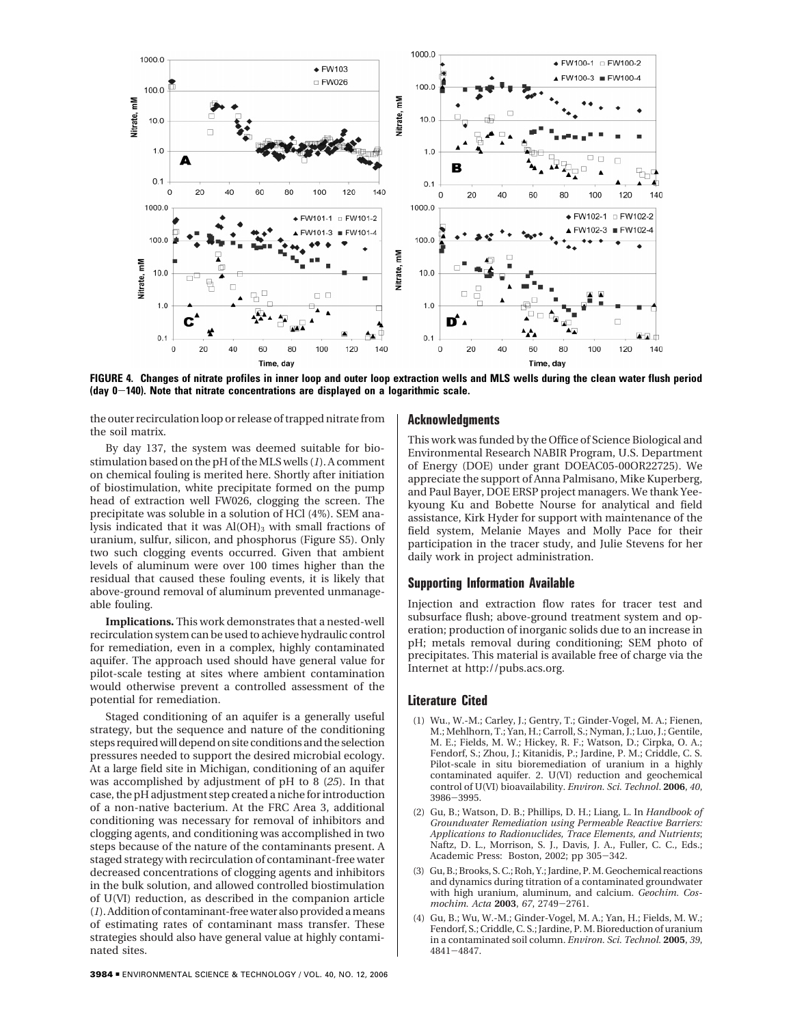

**FIGURE 4. Changes of nitrate profiles in inner loop and outer loop extraction wells and MLS wells during the clean water flush period (day 0**-**140). Note that nitrate concentrations are displayed on a logarithmic scale.**

the outer recirculation loop or release of trapped nitrate from the soil matrix.

By day 137, the system was deemed suitable for biostimulation based on the pH of the MLS wells (*1*). A comment on chemical fouling is merited here. Shortly after initiation of biostimulation, white precipitate formed on the pump head of extraction well FW026, clogging the screen. The precipitate was soluble in a solution of HCl (4%). SEM analysis indicated that it was Al(OH)<sub>3</sub> with small fractions of uranium, sulfur, silicon, and phosphorus (Figure S5). Only two such clogging events occurred. Given that ambient levels of aluminum were over 100 times higher than the residual that caused these fouling events, it is likely that above-ground removal of aluminum prevented unmanageable fouling.

**Implications.** This work demonstrates that a nested-well recirculation system can be used to achieve hydraulic control for remediation, even in a complex, highly contaminated aquifer. The approach used should have general value for pilot-scale testing at sites where ambient contamination would otherwise prevent a controlled assessment of the potential for remediation.

Staged conditioning of an aquifer is a generally useful strategy, but the sequence and nature of the conditioning steps required will depend on site conditions and the selection pressures needed to support the desired microbial ecology. At a large field site in Michigan, conditioning of an aquifer was accomplished by adjustment of pH to 8 (*25*). In that case, the pH adjustment step created a niche for introduction of a non-native bacterium. At the FRC Area 3, additional conditioning was necessary for removal of inhibitors and clogging agents, and conditioning was accomplished in two steps because of the nature of the contaminants present. A staged strategy with recirculation of contaminant-free water decreased concentrations of clogging agents and inhibitors in the bulk solution, and allowed controlled biostimulation of U(VI) reduction, as described in the companion article (*1*). Addition of contaminant-free water also provided a means of estimating rates of contaminant mass transfer. These strategies should also have general value at highly contaminated sites.

#### **Acknowledgments**

This work was funded by the Office of Science Biological and Environmental Research NABIR Program, U.S. Department of Energy (DOE) under grant DOEAC05-00OR22725). We appreciate the support of Anna Palmisano, Mike Kuperberg, and Paul Bayer, DOE ERSP project managers. We thank Yeekyoung Ku and Bobette Nourse for analytical and field assistance, Kirk Hyder for support with maintenance of the field system, Melanie Mayes and Molly Pace for their participation in the tracer study, and Julie Stevens for her daily work in project administration.

## **Supporting Information Available**

Injection and extraction flow rates for tracer test and subsurface flush; above-ground treatment system and operation; production of inorganic solids due to an increase in pH; metals removal during conditioning; SEM photo of precipitates. This material is available free of charge via the Internet at http://pubs.acs.org.

#### **Literature Cited**

- (1) Wu., W.-M.; Carley, J.; Gentry, T.; Ginder-Vogel, M. A.; Fienen, M.; Mehlhorn, T.; Yan, H.; Carroll, S.; Nyman, J.; Luo, J.; Gentile, M. E.; Fields, M. W.; Hickey, R. F.; Watson, D.; Cirpka, O. A.; Fendorf, S.; Zhou, J.; Kitanidis, P.; Jardine, P. M.; Criddle, C. S. Pilot-scale in situ bioremediation of uranium in a highly contaminated aquifer. 2. U(VI) reduction and geochemical control of U(VI) bioavailability. *Environ. Sci. Technol*. **2006**, *40*, <sup>3986</sup>-3995.
- (2) Gu, B.; Watson, D. B.; Phillips, D. H.; Liang, L. In *Handbook of Groundwater Remediation using Permeable Reactive Barriers: Applications to Radionuclides, Trace Elements, and Nutrients*; Naftz, D. L., Morrison, S. J., Davis, J. A., Fuller, C. C., Eds.; Academic Press: Boston, 2002; pp 305-342.
- (3) Gu, B.; Brooks, S. C.; Roh, Y.; Jardine, P. M. Geochemical reactions and dynamics during titration of a contaminated groundwater with high uranium, aluminum, and calcium. *Geochim. Cosmochim. Acta* **<sup>2003</sup>**, *<sup>67</sup>*, 2749-2761.
- (4) Gu, B.; Wu, W.-M.; Ginder-Vogel, M. A.; Yan, H.; Fields, M. W.; Fendorf, S.; Criddle, C. S.; Jardine, P. M. Bioreduction of uranium in a contaminated soil column. *Environ. Sci. Technol.* **2005**, *39*, <sup>4841</sup>-4847.